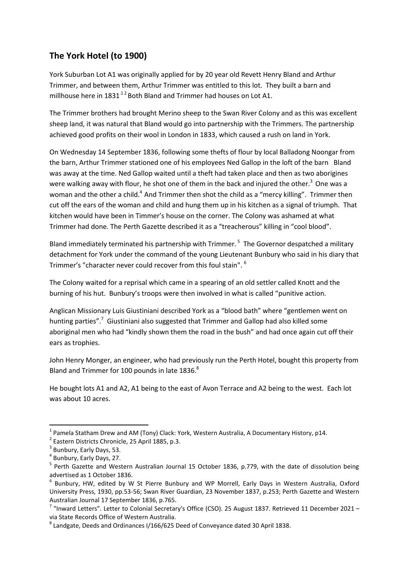## **The York Hotel (to 1900)**

York Suburban Lot A1 was originally applied for by 20 year old Revett Henry Bland and Arthur Trimmer, and between them, Arthur Trimmer was entitled to this lot. They built a barn and millhouse here in  $1831^{12}$  Both Bland and Trimmer had houses on Lot A1.

The Trimmer brothers had brought Merino sheep to the Swan River Colony and as this was excellent sheep land, it was natural that Bland would go into partnership with the Trimmers. The partnership achieved good profits on their wool in London in 1833, which caused a rush on land in York.

On Wednesday 14 September 1836, following some thefts of flour by local Balladong Noongar from the barn, Arthur Trimmer stationed one of his employees Ned Gallop in the loft of the barn Bland was away at the time. Ned Gallop waited until a theft had taken place and then as two aborigines were walking away with flour, he shot one of them in the back and injured the other.<sup>3</sup> One was a woman and the other a child.<sup>4</sup> And Trimmer then shot the child as a "mercy killing". Trimmer then cut off the ears of the woman and child and hung them up in his kitchen as a signal of triumph. That kitchen would have been in Timmer's house on the corner. The Colony was ashamed at what Trimmer had done. The Perth Gazette described it as a "treacherous" killing in "cool blood".

Bland immediately terminated his partnership with Trimmer.<sup>5</sup> The Governor despatched a military detachment for York under the command of the young Lieutenant Bunbury who said in his diary that Trimmer's "character never could recover from this foul stain". <sup>6</sup>

The Colony waited for a reprisal which came in a spearing of an old settler called Knott and the burning of his hut. Bunbury's troops were then involved in what is called "punitive action.

Anglican Missionary Luis Giustiniani described York as a "blood bath" where "gentlemen went on hunting parties".<sup>7</sup> Giustiniani also suggested that Trimmer and Gallop had also killed some aboriginal men who had "kindly shown them the road in the bush" and had once again cut off their ears as trophies.

John Henry Monger, an engineer, who had previously run the Perth Hotel, bought this property from Bland and Trimmer for 100 pounds in late 1836.<sup>8</sup>

He bought lots A1 and A2, A1 being to the east of Avon Terrace and A2 being to the west. Each lot was about 10 acres.

 $^{1}$  Pamela Statham Drew and AM (Tony) Clack: York, Western Australia, A Documentary History, p14.

<sup>&</sup>lt;sup>2</sup> Eastern Districts Chronicle, 25 April 1885, p.3.

<sup>&</sup>lt;sup>3</sup> Bunbury, Early Days, 53.

<sup>4</sup> Bunbury, Early Days, 27.

<sup>&</sup>lt;sup>5</sup> Perth Gazette and Western Australian Journal 15 October 1836, p.779, with the date of dissolution being advertised as 1 October 1836.

<sup>6</sup> Bunbury, HW, edited by W St Pierre Bunbury and WP Morrell, Early Days in Western Australia, Oxford University Press, 1930, pp.53-56; Swan River Guardian, 23 November 1837, p.253; Perth Gazette and Western Australian Journal 17 September 1836, p.765.

 $^7$  "Inward Letters". Letter to Colonial Secretary's Office (CSO). 25 August 1837. Retrieved 11 December 2021 – via State Records Office of Western Australia.

 $^8$  Landgate, Deeds and Ordinances I/166/625 Deed of Conveyance dated 30 April 1838.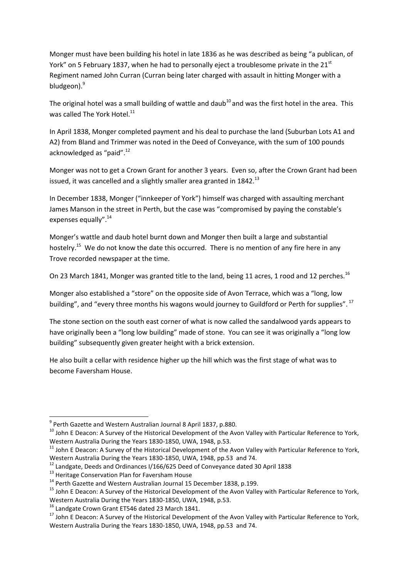Monger must have been building his hotel in late 1836 as he was described as being "a publican, of York" on 5 February 1837, when he had to personally eject a troublesome private in the 21<sup>st</sup> Regiment named John Curran (Curran being later charged with assault in hitting Monger with a bludgeon).<sup>9</sup>

The original hotel was a small building of wattle and daub<sup>10</sup> and was the first hotel in the area. This was called The York Hotel. $^{11}$ 

In April 1838, Monger completed payment and his deal to purchase the land (Suburban Lots A1 and A2) from Bland and Trimmer was noted in the Deed of Conveyance, with the sum of 100 pounds acknowledged as "paid".<sup>12</sup>

Monger was not to get a Crown Grant for another 3 years. Even so, after the Crown Grant had been issued, it was cancelled and a slightly smaller area granted in  $1842.<sup>13</sup>$ 

In December 1838, Monger ("innkeeper of York") himself was charged with assaulting merchant James Manson in the street in Perth, but the case was "compromised by paying the constable's expenses equally".<sup>14</sup>

Monger's wattle and daub hotel burnt down and Monger then built a large and substantial hostelry.<sup>15</sup> We do not know the date this occurred. There is no mention of any fire here in any Trove recorded newspaper at the time.

On 23 March 1841, Monger was granted title to the land, being 11 acres, 1 rood and 12 perches.<sup>16</sup>

Monger also established a "store" on the opposite side of Avon Terrace, which was a "long, low building", and "every three months his wagons would journey to Guildford or Perth for supplies".<sup>17</sup>

The stone section on the south east corner of what is now called the sandalwood yards appears to have originally been a "long low building" made of stone. You can see it was originally a "long low building" subsequently given greater height with a brick extension.

He also built a cellar with residence higher up the hill which was the first stage of what was to become Faversham House.

<sup>&</sup>lt;sup>9</sup> Perth Gazette and Western Australian Journal 8 April 1837, p.880.

<sup>&</sup>lt;sup>10</sup> John E Deacon: A Survey of the Historical Development of the Avon Valley with Particular Reference to York, Western Australia During the Years 1830-1850, UWA, 1948, p.53.

<sup>&</sup>lt;sup>11</sup> John E Deacon: A Survey of the Historical Development of the Avon Valley with Particular Reference to York, Western Australia During the Years 1830-1850, UWA, 1948, pp.53 and 74.

<sup>&</sup>lt;sup>12</sup> Landgate, Deeds and Ordinances I/166/625 Deed of Conveyance dated 30 April 1838

<sup>&</sup>lt;sup>13</sup> Heritage Conservation Plan for Faversham House

<sup>&</sup>lt;sup>14</sup> Perth Gazette and Western Australian Journal 15 December 1838, p.199.

<sup>&</sup>lt;sup>15</sup> John E Deacon: A Survey of the Historical Development of the Avon Valley with Particular Reference to York, Western Australia During the Years 1830-1850, UWA, 1948, p.53.

<sup>&</sup>lt;sup>16</sup> Landgate Crown Grant ET546 dated 23 March 1841.

<sup>&</sup>lt;sup>17</sup> John E Deacon: A Survey of the Historical Development of the Avon Valley with Particular Reference to York, Western Australia During the Years 1830-1850, UWA, 1948, pp.53 and 74.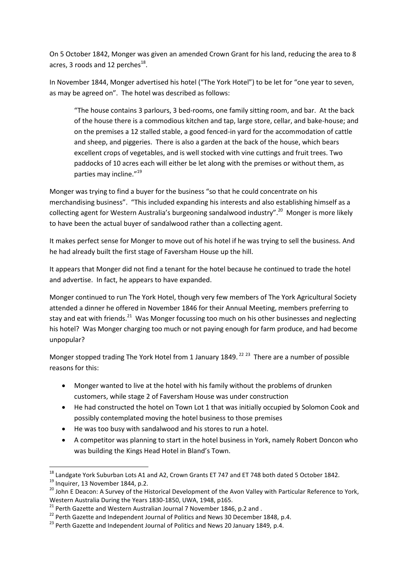On 5 October 1842, Monger was given an amended Crown Grant for his land, reducing the area to 8 acres, 3 roods and 12 perches $^{18}$ .

In November 1844, Monger advertised his hotel ("The York Hotel") to be let for "one year to seven, as may be agreed on". The hotel was described as follows:

"The house contains 3 parlours, 3 bed-rooms, one family sitting room, and bar. At the back of the house there is a commodious kitchen and tap, large store, cellar, and bake-house; and on the premises a 12 stalled stable, a good fenced-in yard for the accommodation of cattle and sheep, and piggeries. There is also a garden at the back of the house, which bears excellent crops of vegetables, and is well stocked with vine cuttings and fruit trees. Two paddocks of 10 acres each will either be let along with the premises or without them, as parties may incline."<sup>19</sup>

Monger was trying to find a buyer for the business "so that he could concentrate on his merchandising business". "This included expanding his interests and also establishing himself as a collecting agent for Western Australia's burgeoning sandalwood industry".<sup>20</sup> Monger is more likely to have been the actual buyer of sandalwood rather than a collecting agent.

It makes perfect sense for Monger to move out of his hotel if he was trying to sell the business. And he had already built the first stage of Faversham House up the hill.

It appears that Monger did not find a tenant for the hotel because he continued to trade the hotel and advertise. In fact, he appears to have expanded.

Monger continued to run The York Hotel, though very few members of The York Agricultural Society attended a dinner he offered in November 1846 for their Annual Meeting, members preferring to stay and eat with friends.<sup>21</sup> Was Monger focussing too much on his other businesses and neglecting his hotel? Was Monger charging too much or not paying enough for farm produce, and had become unpopular?

Monger stopped trading The York Hotel from 1 January 1849.<sup>22 23</sup> There are a number of possible reasons for this:

- Monger wanted to live at the hotel with his family without the problems of drunken customers, while stage 2 of Faversham House was under construction
- He had constructed the hotel on Town Lot 1 that was initially occupied by Solomon Cook and possibly contemplated moving the hotel business to those premises
- He was too busy with sandalwood and his stores to run a hotel.
- A competitor was planning to start in the hotel business in York, namely Robert Doncon who was building the Kings Head Hotel in Bland's Town.

 $\overline{a}$  $^{18}$  Landgate York Suburban Lots A1 and A2, Crown Grants ET 747 and ET 748 both dated 5 October 1842. <sup>19</sup> Inquirer, 13 November 1844, p.2.

<sup>&</sup>lt;sup>20</sup> John E Deacon: A Survey of the Historical Development of the Avon Valley with Particular Reference to York, Western Australia During the Years 1830-1850, UWA, 1948, p165.

 $^{21}$  Perth Gazette and Western Australian Journal 7 November 1846, p.2 and.

 $22$  Perth Gazette and Independent Journal of Politics and News 30 December 1848, p.4.

 $^{23}$  Perth Gazette and Independent Journal of Politics and News 20 January 1849, p.4.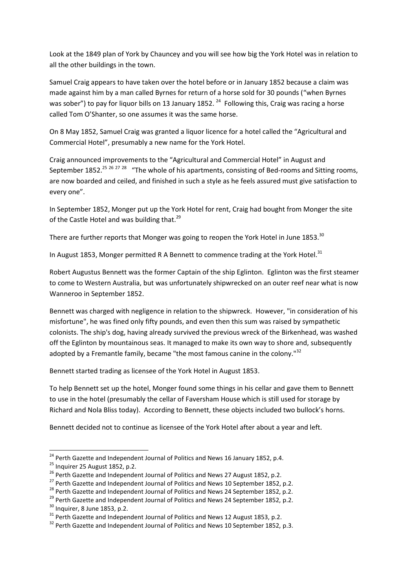Look at the 1849 plan of York by Chauncey and you will see how big the York Hotel was in relation to all the other buildings in the town.

Samuel Craig appears to have taken over the hotel before or in January 1852 because a claim was made against him by a man called Byrnes for return of a horse sold for 30 pounds ("when Byrnes was sober") to pay for liquor bills on 13 January 1852.  $^{24}$  Following this, Craig was racing a horse called Tom O'Shanter, so one assumes it was the same horse.

On 8 May 1852, Samuel Craig was granted a liquor licence for a hotel called the "Agricultural and Commercial Hotel", presumably a new name for the York Hotel.

Craig announced improvements to the "Agricultural and Commercial Hotel" in August and September 1852.<sup>25 26 27 28</sup> "The whole of his apartments, consisting of Bed-rooms and Sitting rooms, are now boarded and ceiled, and finished in such a style as he feels assured must give satisfaction to every one".

In September 1852, Monger put up the York Hotel for rent, Craig had bought from Monger the site of the Castle Hotel and was building that.<sup>29</sup>

There are further reports that Monger was going to reopen the York Hotel in June 1853. $30$ 

In August 1853, Monger permitted R A Bennett to commence trading at the York Hotel. $31$ 

Robert Augustus Bennett was the former Captain of the ship Eglinton. Eglinton was the first steamer to come to Western Australia, but was unfortunately shipwrecked on an outer reef near what is now Wanneroo in September 1852.

Bennett was charged with negligence in relation to the shipwreck. However, "in consideration of his misfortune", he was fined only fifty pounds, and even then this sum was raised by sympathetic colonists. The ship's dog, having already survived the previous wreck of the Birkenhead, was washed off the Eglinton by mountainous seas. It managed to make its own way to shore and, subsequently adopted by a Fremantle family, became "the most famous canine in the colony."<sup>32</sup>

Bennett started trading as licensee of the York Hotel in August 1853.

To help Bennett set up the hotel, Monger found some things in his cellar and gave them to Bennett to use in the hotel (presumably the cellar of Faversham House which is still used for storage by Richard and Nola Bliss today). According to Bennett, these objects included two bullock's horns.

Bennett decided not to continue as licensee of the York Hotel after about a year and left.

 $^{24}$  Perth Gazette and Independent Journal of Politics and News 16 January 1852, p.4.

 $25$  Inquirer 25 August 1852, p.2.

<sup>&</sup>lt;sup>26</sup> Perth Gazette and Independent Journal of Politics and News 27 August 1852, p.2.

<sup>&</sup>lt;sup>27</sup> Perth Gazette and Independent Journal of Politics and News 10 September 1852, p.2.

<sup>&</sup>lt;sup>28</sup> Perth Gazette and Independent Journal of Politics and News 24 September 1852, p.2.

<sup>&</sup>lt;sup>29</sup> Perth Gazette and Independent Journal of Politics and News 24 September 1852, p.2.

 $30$  Inquirer, 8 June 1853, p.2.

 $31$  Perth Gazette and Independent Journal of Politics and News 12 August 1853, p.2.

 $32$  Perth Gazette and Independent Journal of Politics and News 10 September 1852, p.3.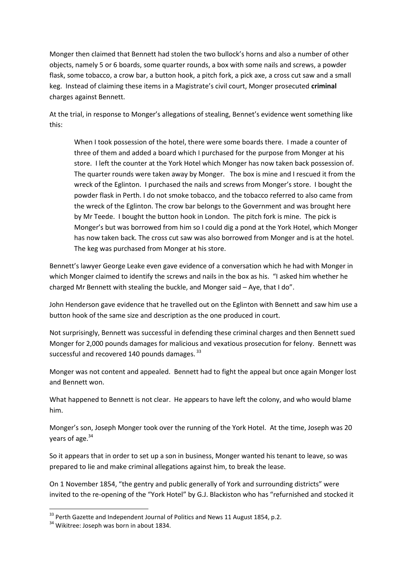Monger then claimed that Bennett had stolen the two bullock's horns and also a number of other objects, namely 5 or 6 boards, some quarter rounds, a box with some nails and screws, a powder flask, some tobacco, a crow bar, a button hook, a pitch fork, a pick axe, a cross cut saw and a small keg. Instead of claiming these items in a Magistrate's civil court, Monger prosecuted **criminal** charges against Bennett.

At the trial, in response to Monger's allegations of stealing, Bennet's evidence went something like this:

When I took possession of the hotel, there were some boards there. I made a counter of three of them and added a board which I purchased for the purpose from Monger at his store. I left the counter at the York Hotel which Monger has now taken back possession of. The quarter rounds were taken away by Monger. The box is mine and I rescued it from the wreck of the Eglinton. I purchased the nails and screws from Monger's store. I bought the powder flask in Perth. I do not smoke tobacco, and the tobacco referred to also came from the wreck of the Eglinton. The crow bar belongs to the Government and was brought here by Mr Teede. I bought the button hook in London. The pitch fork is mine. The pick is Monger's but was borrowed from him so I could dig a pond at the York Hotel, which Monger has now taken back. The cross cut saw was also borrowed from Monger and is at the hotel. The keg was purchased from Monger at his store.

Bennett's lawyer George Leake even gave evidence of a conversation which he had with Monger in which Monger claimed to identify the screws and nails in the box as his. "I asked him whether he charged Mr Bennett with stealing the buckle, and Monger said – Aye, that I do".

John Henderson gave evidence that he travelled out on the Eglinton with Bennett and saw him use a button hook of the same size and description as the one produced in court.

Not surprisingly, Bennett was successful in defending these criminal charges and then Bennett sued Monger for 2,000 pounds damages for malicious and vexatious prosecution for felony. Bennett was successful and recovered 140 pounds damages.  $33$ 

Monger was not content and appealed. Bennett had to fight the appeal but once again Monger lost and Bennett won.

What happened to Bennett is not clear. He appears to have left the colony, and who would blame him.

Monger's son, Joseph Monger took over the running of the York Hotel. At the time, Joseph was 20 vears of age. $34$ 

So it appears that in order to set up a son in business, Monger wanted his tenant to leave, so was prepared to lie and make criminal allegations against him, to break the lease.

On 1 November 1854, "the gentry and public generally of York and surrounding districts" were invited to the re-opening of the "York Hotel" by G.J. Blackiston who has "refurnished and stocked it

**.** 

 $33$  Perth Gazette and Independent Journal of Politics and News 11 August 1854, p.2.

<sup>&</sup>lt;sup>34</sup> Wikitree: Joseph was born in about 1834.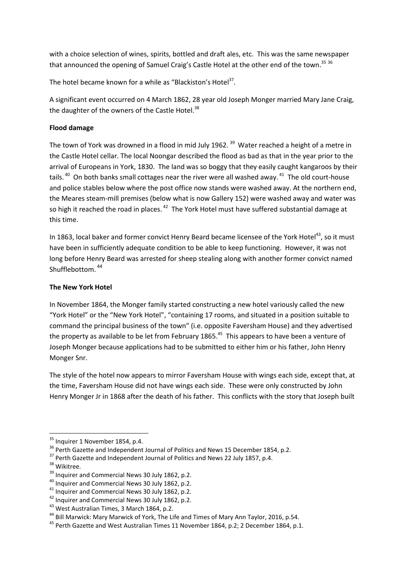with a choice selection of wines, spirits, bottled and draft ales, etc. This was the same newspaper that announced the opening of Samuel Craig's Castle Hotel at the other end of the town.<sup>35 36</sup>

The hotel became known for a while as "Blackiston's Hotel<sup>37</sup>.

A significant event occurred on 4 March 1862, 28 year old Joseph Monger married Mary Jane Craig, the daughter of the owners of the Castle Hotel.<sup>38</sup>

## **Flood damage**

The town of York was drowned in a flood in mid July 1962. <sup>39</sup> Water reached a height of a metre in the Castle Hotel cellar. The local Noongar described the flood as bad as that in the year prior to the arrival of Europeans in York, 1830. The land was so boggy that they easily caught kangaroos by their tails.<sup>40</sup> On both banks small cottages near the river were all washed away.<sup>41</sup> The old court-house and police stables below where the post office now stands were washed away. At the northern end, the Meares steam-mill premises (below what is now Gallery 152) were washed away and water was so high it reached the road in places.  $42$  The York Hotel must have suffered substantial damage at this time.

In 1863, local baker and former convict Henry Beard became licensee of the York Hotel<sup>43</sup>, so it must have been in sufficiently adequate condition to be able to keep functioning. However, it was not long before Henry Beard was arrested for sheep stealing along with another former convict named Shufflebottom. <sup>44</sup>

## **The New York Hotel**

In November 1864, the Monger family started constructing a new hotel variously called the new "York Hotel" or the "New York Hotel", "containing 17 rooms, and situated in a position suitable to command the principal business of the town" (i.e. opposite Faversham House) and they advertised the property as available to be let from February 1865.<sup>45</sup> This appears to have been a venture of Joseph Monger because applications had to be submitted to either him or his father, John Henry Monger Snr.

The style of the hotel now appears to mirror Faversham House with wings each side, except that, at the time, Faversham House did not have wings each side. These were only constructed by John Henry Monger Jr in 1868 after the death of his father. This conflicts with the story that Joseph built

<sup>&</sup>lt;sup>35</sup> Inquirer 1 November 1854, p.4.

<sup>&</sup>lt;sup>36</sup> Perth Gazette and Independent Journal of Politics and News 15 December 1854, p.2.

<sup>&</sup>lt;sup>37</sup> Perth Gazette and Independent Journal of Politics and News 22 July 1857, p.4.

<sup>&</sup>lt;sup>38</sup> Wikitree.

<sup>&</sup>lt;sup>39</sup> Inquirer and Commercial News 30 July 1862, p.2.

<sup>&</sup>lt;sup>40</sup> Inquirer and Commercial News 30 July 1862, p.2.

<sup>&</sup>lt;sup>41</sup> Inquirer and Commercial News 30 July 1862, p.2.

<sup>&</sup>lt;sup>42</sup> Inquirer and Commercial News 30 July 1862, p.2.

<sup>&</sup>lt;sup>43</sup> West Australian Times, 3 March 1864, p.2.

<sup>&</sup>lt;sup>44</sup> Bill Marwick: Mary Marwick of York, The Life and Times of Mary Ann Taylor, 2016, p.54.

<sup>&</sup>lt;sup>45</sup> Perth Gazette and West Australian Times 11 November 1864, p.2; 2 December 1864, p.1.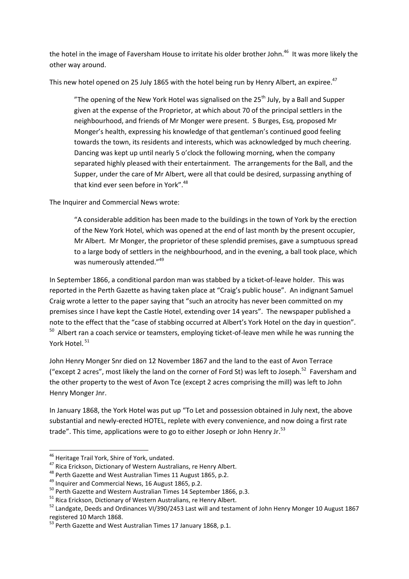the hotel in the image of Faversham House to irritate his older brother John.<sup>46</sup> It was more likely the other way around.

This new hotel opened on 25 July 1865 with the hotel being run by Henry Albert, an expiree.<sup>47</sup>

"The opening of the New York Hotel was signalised on the  $25<sup>th</sup>$  July, by a Ball and Supper given at the expense of the Proprietor, at which about 70 of the principal settlers in the neighbourhood, and friends of Mr Monger were present. S Burges, Esq, proposed Mr Monger's health, expressing his knowledge of that gentleman's continued good feeling towards the town, its residents and interests, which was acknowledged by much cheering. Dancing was kept up until nearly 5 o'clock the following morning, when the company separated highly pleased with their entertainment. The arrangements for the Ball, and the Supper, under the care of Mr Albert, were all that could be desired, surpassing anything of that kind ever seen before in York".<sup>48</sup>

The Inquirer and Commercial News wrote:

"A considerable addition has been made to the buildings in the town of York by the erection of the New York Hotel, which was opened at the end of last month by the present occupier, Mr Albert. Mr Monger, the proprietor of these splendid premises, gave a sumptuous spread to a large body of settlers in the neighbourhood, and in the evening, a ball took place, which was numerously attended."<sup>49</sup>

In September 1866, a conditional pardon man was stabbed by a ticket-of-leave holder. This was reported in the Perth Gazette as having taken place at "Craig's public house". An indignant Samuel Craig wrote a letter to the paper saying that "such an atrocity has never been committed on my premises since I have kept the Castle Hotel, extending over 14 years". The newspaper published a note to the effect that the "case of stabbing occurred at Albert's York Hotel on the day in question". <sup>50</sup> Albert ran a coach service or teamsters, employing ticket-of-leave men while he was running the York Hotel. <sup>51</sup>

John Henry Monger Snr died on 12 November 1867 and the land to the east of Avon Terrace ("except 2 acres", most likely the land on the corner of Ford St) was left to Joseph.<sup>52</sup> Faversham and the other property to the west of Avon Tce (except 2 acres comprising the mill) was left to John Henry Monger Jnr.

In January 1868, the York Hotel was put up "To Let and possession obtained in July next, the above substantial and newly-erected HOTEL, replete with every convenience, and now doing a first rate trade". This time, applications were to go to either Joseph or John Henry Jr. $^{53}$ 

<sup>1</sup> <sup>46</sup> Heritage Trail York, Shire of York, undated.

<sup>&</sup>lt;sup>47</sup> Rica Erickson, Dictionary of Western Australians, re Henry Albert.

<sup>&</sup>lt;sup>48</sup> Perth Gazette and West Australian Times 11 August 1865, p.2.

<sup>&</sup>lt;sup>49</sup> Inquirer and Commercial News, 16 August 1865, p.2.

<sup>&</sup>lt;sup>50</sup> Perth Gazette and Western Australian Times 14 September 1866, p.3.

<sup>&</sup>lt;sup>51</sup> Rica Erickson, Dictionary of Western Australians, re Henry Albert.

<sup>52</sup> Landgate, Deeds and Ordinances VI/390/2453 Last will and testament of John Henry Monger 10 August 1867 registered 10 March 1868.

<sup>&</sup>lt;sup>53</sup> Perth Gazette and West Australian Times 17 January 1868, p.1.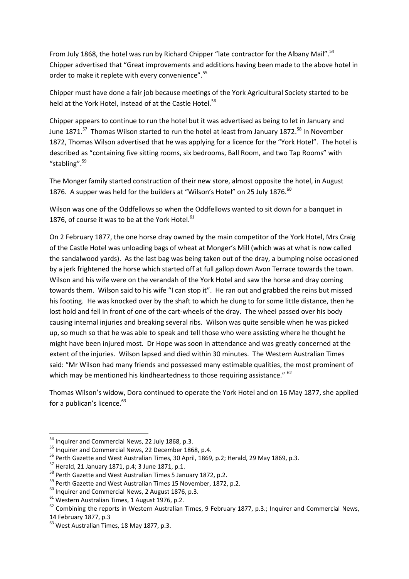From July 1868, the hotel was run by Richard Chipper "late contractor for the Albany Mail".<sup>54</sup> Chipper advertised that "Great improvements and additions having been made to the above hotel in order to make it replete with every convenience".<sup>55</sup>

Chipper must have done a fair job because meetings of the York Agricultural Society started to be held at the York Hotel, instead of at the Castle Hotel.<sup>56</sup>

Chipper appears to continue to run the hotel but it was advertised as being to let in January and June 1871.<sup>57</sup> Thomas Wilson started to run the hotel at least from January 1872.<sup>58</sup> In November 1872, Thomas Wilson advertised that he was applying for a licence for the "York Hotel". The hotel is described as "containing five sitting rooms, six bedrooms, Ball Room, and two Tap Rooms" with "stabling".<sup>59</sup>

The Monger family started construction of their new store, almost opposite the hotel, in August 1876. A supper was held for the builders at "Wilson's Hotel" on 25 July 1876.<sup>60</sup>

Wilson was one of the Oddfellows so when the Oddfellows wanted to sit down for a banquet in 1876, of course it was to be at the York Hotel.<sup>61</sup>

On 2 February 1877, the one horse dray owned by the main competitor of the York Hotel, Mrs Craig of the Castle Hotel was unloading bags of wheat at Monger's Mill (which was at what is now called the sandalwood yards). As the last bag was being taken out of the dray, a bumping noise occasioned by a jerk frightened the horse which started off at full gallop down Avon Terrace towards the town. Wilson and his wife were on the verandah of the York Hotel and saw the horse and dray coming towards them. Wilson said to his wife "I can stop it". He ran out and grabbed the reins but missed his footing. He was knocked over by the shaft to which he clung to for some little distance, then he lost hold and fell in front of one of the cart-wheels of the dray. The wheel passed over his body causing internal injuries and breaking several ribs. Wilson was quite sensible when he was picked up, so much so that he was able to speak and tell those who were assisting where he thought he might have been injured most. Dr Hope was soon in attendance and was greatly concerned at the extent of the injuries. Wilson lapsed and died within 30 minutes. The Western Australian Times said: "Mr Wilson had many friends and possessed many estimable qualities, the most prominent of which may be mentioned his kindheartedness to those requiring assistance." <sup>62</sup>

Thomas Wilson's widow, Dora continued to operate the York Hotel and on 16 May 1877, she applied for a publican's licence.<sup>63</sup>

<sup>&</sup>lt;sup>54</sup> Inquirer and Commercial News, 22 July 1868, p.3.

<sup>&</sup>lt;sup>55</sup> Inquirer and Commercial News, 22 December 1868, p.4.

<sup>56</sup> Perth Gazette and West Australian Times, 30 April, 1869, p.2; Herald, 29 May 1869, p.3.

<sup>57</sup> Herald, 21 January 1871, p.4; 3 June 1871, p.1.

<sup>&</sup>lt;sup>58</sup> Perth Gazette and West Australian Times 5 January 1872, p.2.

<sup>&</sup>lt;sup>59</sup> Perth Gazette and West Australian Times 15 November, 1872, p.2.

<sup>&</sup>lt;sup>60</sup> Inquirer and Commercial News, 2 August 1876, p.3.

<sup>61</sup> Western Australian Times, 1 August 1976, p.2.

 $62$  Combining the reports in Western Australian Times, 9 February 1877, p.3.; Inquirer and Commercial News, 14 February 1877, p.3

<sup>&</sup>lt;sup>63</sup> West Australian Times, 18 May 1877, p.3.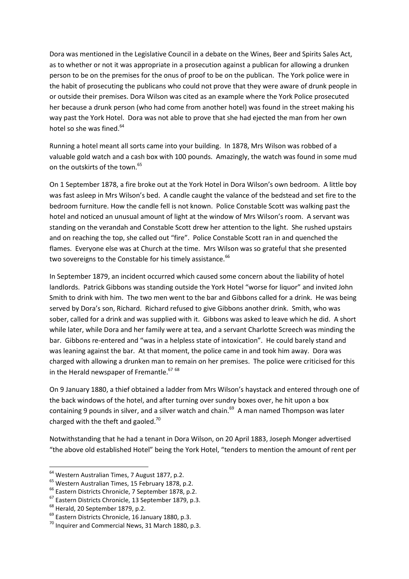Dora was mentioned in the Legislative Council in a debate on the Wines, Beer and Spirits Sales Act, as to whether or not it was appropriate in a prosecution against a publican for allowing a drunken person to be on the premises for the onus of proof to be on the publican. The York police were in the habit of prosecuting the publicans who could not prove that they were aware of drunk people in or outside their premises. Dora Wilson was cited as an example where the York Police prosecuted her because a drunk person (who had come from another hotel) was found in the street making his way past the York Hotel. Dora was not able to prove that she had ejected the man from her own hotel so she was fined.<sup>64</sup>

Running a hotel meant all sorts came into your building. In 1878, Mrs Wilson was robbed of a valuable gold watch and a cash box with 100 pounds. Amazingly, the watch was found in some mud on the outskirts of the town.<sup>65</sup>

On 1 September 1878, a fire broke out at the York Hotel in Dora Wilson's own bedroom. A little boy was fast asleep in Mrs Wilson's bed. A candle caught the valance of the bedstead and set fire to the bedroom furniture. How the candle fell is not known. Police Constable Scott was walking past the hotel and noticed an unusual amount of light at the window of Mrs Wilson's room. A servant was standing on the verandah and Constable Scott drew her attention to the light. She rushed upstairs and on reaching the top, she called out "fire". Police Constable Scott ran in and quenched the flames. Everyone else was at Church at the time. Mrs Wilson was so grateful that she presented two sovereigns to the Constable for his timely assistance.<sup>66</sup>

In September 1879, an incident occurred which caused some concern about the liability of hotel landlords. Patrick Gibbons was standing outside the York Hotel "worse for liquor" and invited John Smith to drink with him. The two men went to the bar and Gibbons called for a drink. He was being served by Dora's son, Richard. Richard refused to give Gibbons another drink. Smith, who was sober, called for a drink and was supplied with it. Gibbons was asked to leave which he did. A short while later, while Dora and her family were at tea, and a servant Charlotte Screech was minding the bar. Gibbons re-entered and "was in a helpless state of intoxication". He could barely stand and was leaning against the bar. At that moment, the police came in and took him away. Dora was charged with allowing a drunken man to remain on her premises. The police were criticised for this in the Herald newspaper of Fremantle.<sup>67 68</sup>

On 9 January 1880, a thief obtained a ladder from Mrs Wilson's haystack and entered through one of the back windows of the hotel, and after turning over sundry boxes over, he hit upon a box containing 9 pounds in silver, and a silver watch and chain.<sup>69</sup> A man named Thompson was later charged with the theft and gaoled.<sup>70</sup>

Notwithstanding that he had a tenant in Dora Wilson, on 20 April 1883, Joseph Monger advertised "the above old established Hotel" being the York Hotel, "tenders to mention the amount of rent per

<sup>&</sup>lt;sup>64</sup> Western Australian Times, 7 August 1877, p.2.

<sup>65</sup> Western Australian Times, 15 February 1878, p.2.

<sup>&</sup>lt;sup>66</sup> Eastern Districts Chronicle, 7 September 1878, p.2.

<sup>67</sup> Eastern Districts Chronicle, 13 September 1879, p.3.

<sup>&</sup>lt;sup>68</sup> Herald, 20 September 1879, p.2.

<sup>69</sup> Eastern Districts Chronicle, 16 January 1880, p.3.

 $70$  Inquirer and Commercial News, 31 March 1880, p.3.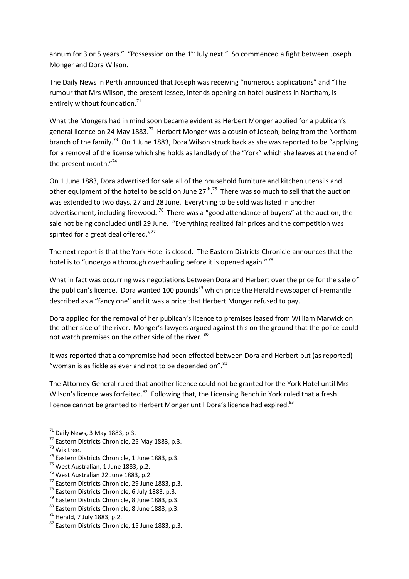annum for 3 or 5 years." "Possession on the 1<sup>st</sup> July next." So commenced a fight between Joseph Monger and Dora Wilson.

The Daily News in Perth announced that Joseph was receiving "numerous applications" and "The rumour that Mrs Wilson, the present lessee, intends opening an hotel business in Northam, is entirely without foundation.<sup>71</sup>

What the Mongers had in mind soon became evident as Herbert Monger applied for a publican's general licence on 24 May 1883.<sup>72</sup> Herbert Monger was a cousin of Joseph, being from the Northam branch of the family.<sup>73</sup> On 1 June 1883, Dora Wilson struck back as she was reported to be "applying" for a removal of the license which she holds as landlady of the "York" which she leaves at the end of the present month."<sup>74</sup>

On 1 June 1883, Dora advertised for sale all of the household furniture and kitchen utensils and other equipment of the hotel to be sold on June  $27^{th}$ .<sup>75</sup> There was so much to sell that the auction was extended to two days, 27 and 28 June. Everything to be sold was listed in another advertisement, including firewood. <sup>76</sup> There was a "good attendance of buyers" at the auction, the sale not being concluded until 29 June. "Everything realized fair prices and the competition was spirited for a great deal offered."<sup>77</sup>

The next report is that the York Hotel is closed. The Eastern Districts Chronicle announces that the hotel is to "undergo a thorough overhauling before it is opened again."<sup>78</sup>

What in fact was occurring was negotiations between Dora and Herbert over the price for the sale of the publican's licence. Dora wanted 100 pounds<sup>79</sup> which price the Herald newspaper of Fremantle described as a "fancy one" and it was a price that Herbert Monger refused to pay.

Dora applied for the removal of her publican's licence to premises leased from William Marwick on the other side of the river. Monger's lawyers argued against this on the ground that the police could not watch premises on the other side of the river. <sup>80</sup>

It was reported that a compromise had been effected between Dora and Herbert but (as reported) "woman is as fickle as ever and not to be depended on". $81$ 

The Attorney General ruled that another licence could not be granted for the York Hotel until Mrs Wilson's licence was forfeited.<sup>82</sup> Following that, the Licensing Bench in York ruled that a fresh licence cannot be granted to Herbert Monger until Dora's licence had expired.<sup>83</sup>

 $^{71}$  Daily News, 3 May 1883, p.3.

<sup>72</sup> Eastern Districts Chronicle, 25 May 1883, p.3.

<sup>73</sup> Wikitree.

<sup>74</sup> Eastern Districts Chronicle, 1 June 1883, p.3.

<sup>&</sup>lt;sup>75</sup> West Australian, 1 June 1883, p.2.

<sup>76</sup> West Australian 22 June 1883, p.2.

<sup>77</sup> Eastern Districts Chronicle, 29 June 1883, p.3.

<sup>&</sup>lt;sup>78</sup> Eastern Districts Chronicle, 6 July 1883, p.3.

<sup>&</sup>lt;sup>79</sup> Eastern Districts Chronicle, 8 June 1883, p.3.

<sup>80</sup> Eastern Districts Chronicle, 8 June 1883, p.3.

<sup>81</sup> Herald, 7 July 1883, p.2.

<sup>82</sup> Eastern Districts Chronicle, 15 June 1883, p.3.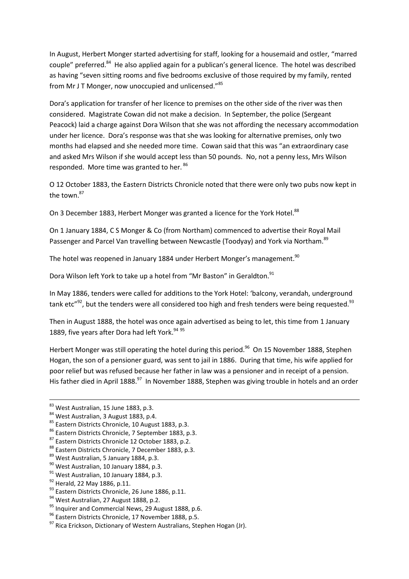In August, Herbert Monger started advertising for staff, looking for a housemaid and ostler, "marred couple" preferred.<sup>84</sup> He also applied again for a publican's general licence. The hotel was described as having "seven sitting rooms and five bedrooms exclusive of those required by my family, rented from Mr J T Monger, now unoccupied and unlicensed."<sup>85</sup>

Dora's application for transfer of her licence to premises on the other side of the river was then considered. Magistrate Cowan did not make a decision. In September, the police (Sergeant Peacock) laid a charge against Dora Wilson that she was not affording the necessary accommodation under her licence. Dora's response was that she was looking for alternative premises, only two months had elapsed and she needed more time. Cowan said that this was "an extraordinary case and asked Mrs Wilson if she would accept less than 50 pounds. No, not a penny less, Mrs Wilson responded. More time was granted to her.<sup>86</sup>

O 12 October 1883, the Eastern Districts Chronicle noted that there were only two pubs now kept in the town.<sup>87</sup>

On 3 December 1883, Herbert Monger was granted a licence for the York Hotel.<sup>88</sup>

On 1 January 1884, C S Monger & Co (from Northam) commenced to advertise their Royal Mail Passenger and Parcel Van travelling between Newcastle (Toodyay) and York via Northam.<sup>89</sup>

The hotel was reopened in January 1884 under Herbert Monger's management. $^{90}$ 

Dora Wilson left York to take up a hotel from "Mr Baston" in Geraldton.<sup>91</sup>

In May 1886, tenders were called for additions to the York Hotel: 'balcony, verandah, underground tank etc" $92$ , but the tenders were all considered too high and fresh tenders were being requested. $93$ 

Then in August 1888, the hotel was once again advertised as being to let, this time from 1 January 1889, five years after Dora had left York.<sup>94 95</sup>

Herbert Monger was still operating the hotel during this period.<sup>96</sup> On 15 November 1888, Stephen Hogan, the son of a pensioner guard, was sent to jail in 1886. During that time, his wife applied for poor relief but was refused because her father in law was a pensioner and in receipt of a pension. His father died in April 1888.<sup>97</sup> In November 1888, Stephen was giving trouble in hotels and an order

**.** 

<sup>83</sup> West Australian, 15 June 1883, p.3.

<sup>84</sup> West Australian, 3 August 1883, p.4.

<sup>85</sup> Eastern Districts Chronicle, 10 August 1883, p.3.

<sup>86</sup> Eastern Districts Chronicle, 7 September 1883, p.3.

<sup>87</sup> Eastern Districts Chronicle 12 October 1883, p.2.

<sup>88</sup> Eastern Districts Chronicle, 7 December 1883, p.3.

<sup>89</sup> West Australian, 5 January 1884, p.3.

<sup>&</sup>lt;sup>90</sup> West Australian, 10 January 1884, p.3.

<sup>&</sup>lt;sup>91</sup> West Australian, 10 January 1884, p.3.

<sup>&</sup>lt;sup>92</sup> Herald, 22 May 1886, p.11.

<sup>93</sup> Eastern Districts Chronicle, 26 June 1886, p.11.

<sup>&</sup>lt;sup>94</sup> West Australian, 27 August 1888, p.2.

<sup>&</sup>lt;sup>95</sup> Inquirer and Commercial News, 29 August 1888, p.6.

<sup>96</sup> Eastern Districts Chronicle, 17 November 1888, p.5.

 $97$  Rica Erickson. Dictionary of Western Australians, Stephen Hogan (Jr).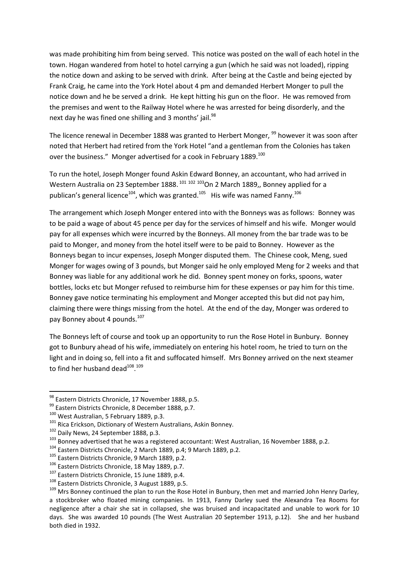was made prohibiting him from being served. This notice was posted on the wall of each hotel in the town. Hogan wandered from hotel to hotel carrying a gun (which he said was not loaded), ripping the notice down and asking to be served with drink. After being at the Castle and being ejected by Frank Craig, he came into the York Hotel about 4 pm and demanded Herbert Monger to pull the notice down and he be served a drink. He kept hitting his gun on the floor. He was removed from the premises and went to the Railway Hotel where he was arrested for being disorderly, and the next day he was fined one shilling and 3 months' jail.<sup>98</sup>

The licence renewal in December 1888 was granted to Herbert Monger, <sup>99</sup> however it was soon after noted that Herbert had retired from the York Hotel "and a gentleman from the Colonies has taken over the business." Monger advertised for a cook in February 1889.<sup>100</sup>

To run the hotel, Joseph Monger found Askin Edward Bonney, an accountant, who had arrived in Western Australia on 23 September 1888. <sup>101 102 103</sup>On 2 March 1889,, Bonney applied for a publican's general licence<sup>104</sup>, which was granted.<sup>105</sup> His wife was named Fanny.<sup>106</sup>

The arrangement which Joseph Monger entered into with the Bonneys was as follows: Bonney was to be paid a wage of about 45 pence per day for the services of himself and his wife. Monger would pay for all expenses which were incurred by the Bonneys. All money from the bar trade was to be paid to Monger, and money from the hotel itself were to be paid to Bonney. However as the Bonneys began to incur expenses, Joseph Monger disputed them. The Chinese cook, Meng, sued Monger for wages owing of 3 pounds, but Monger said he only employed Meng for 2 weeks and that Bonney was liable for any additional work he did. Bonney spent money on forks, spoons, water bottles, locks etc but Monger refused to reimburse him for these expenses or pay him for this time. Bonney gave notice terminating his employment and Monger accepted this but did not pay him, claiming there were things missing from the hotel. At the end of the day, Monger was ordered to pay Bonney about 4 pounds.<sup>107</sup>

The Bonneys left of course and took up an opportunity to run the Rose Hotel in Bunbury. Bonney got to Bunbury ahead of his wife, immediately on entering his hotel room, he tried to turn on the light and in doing so, fell into a fit and suffocated himself. Mrs Bonney arrived on the next steamer to find her husband dead<sup>108</sup>.<sup>109</sup>

<sup>&</sup>lt;sup>98</sup> Eastern Districts Chronicle, 17 November 1888, p.5.

<sup>99</sup> Eastern Districts Chronicle, 8 December 1888, p.7.

<sup>&</sup>lt;sup>100</sup> West Australian, 5 February 1889, p.3.

<sup>&</sup>lt;sup>101</sup> Rica Erickson, Dictionary of Western Australians, Askin Bonney.

<sup>&</sup>lt;sup>102</sup> Daily News, 24 September 1888, p.3.

<sup>&</sup>lt;sup>103</sup> Bonney advertised that he was a registered accountant: West Australian, 16 November 1888, p.2.

<sup>104</sup> Eastern Districts Chronicle, 2 March 1889, p.4; 9 March 1889, p.2.

<sup>105</sup> Eastern Districts Chronicle, 9 March 1889, p.2.

<sup>106</sup> Eastern Districts Chronicle, 18 May 1889, p.7.

<sup>&</sup>lt;sup>107</sup> Eastern Districts Chronicle, 15 June 1889, p.4.

<sup>108</sup> Eastern Districts Chronicle, 3 August 1889, p.5.

<sup>&</sup>lt;sup>109</sup> Mrs Bonney continued the plan to run the Rose Hotel in Bunbury, then met and married John Henry Darley, a stockbroker who floated mining companies. In 1913, Fanny Darley sued the Alexandra Tea Rooms for negligence after a chair she sat in collapsed, she was bruised and incapacitated and unable to work for 10 days. She was awarded 10 pounds (The West Australian 20 September 1913, p.12). She and her husband both died in 1932.